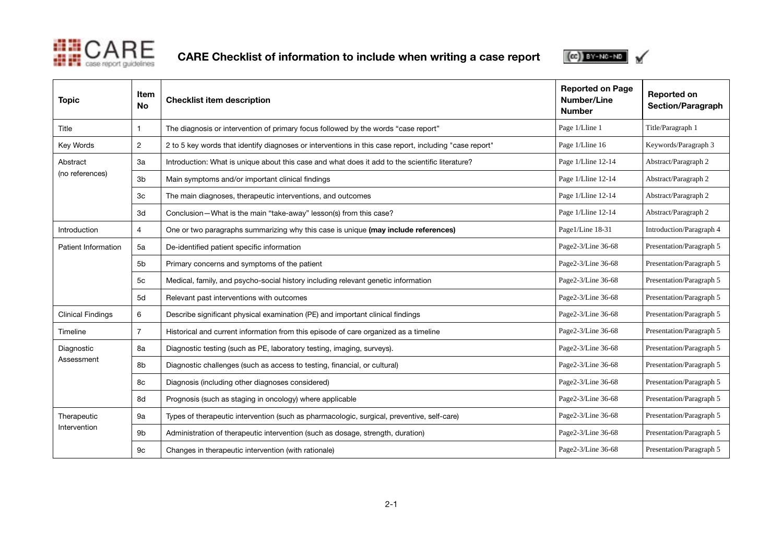

CARE Checklist of information to include when writing a case report



| <b>Topic</b>                | Item<br><b>No</b> | <b>Checklist item description</b>                                                                      | <b>Reported on Page</b><br><b>Number/Line</b><br><b>Number</b> | <b>Reported on</b><br><b>Section/Paragraph</b> |
|-----------------------------|-------------------|--------------------------------------------------------------------------------------------------------|----------------------------------------------------------------|------------------------------------------------|
| Title                       |                   | The diagnosis or intervention of primary focus followed by the words "case report"                     | Page 1/Lline 1                                                 | Title/Paragraph 1                              |
| Key Words                   | $\overline{c}$    | 2 to 5 key words that identify diagnoses or interventions in this case report, including "case report" | Page 1/Lline 16                                                | Keywords/Paragraph 3                           |
| Abstract<br>(no references) | За                | Introduction: What is unique about this case and what does it add to the scientific literature?        | Page 1/Lline 12-14                                             | Abstract/Paragraph 2                           |
|                             | 3 <sub>b</sub>    | Main symptoms and/or important clinical findings                                                       | Page 1/Lline 12-14                                             | Abstract/Paragraph 2                           |
|                             | 3c                | The main diagnoses, therapeutic interventions, and outcomes                                            | Page 1/Lline 12-14                                             | Abstract/Paragraph 2                           |
|                             | 3d                | Conclusion-What is the main "take-away" lesson(s) from this case?                                      | Page 1/Lline 12-14                                             | Abstract/Paragraph 2                           |
| Introduction                | 4                 | One or two paragraphs summarizing why this case is unique (may include references)                     | Page1/Line 18-31                                               | Introduction/Paragraph 4                       |
| Patient Information         | 5a                | De-identified patient specific information                                                             | Page2-3/Line 36-68                                             | Presentation/Paragraph 5                       |
|                             | 5 <sub>b</sub>    | Primary concerns and symptoms of the patient                                                           | Page2-3/Line 36-68                                             | Presentation/Paragraph 5                       |
|                             | 5c                | Medical, family, and psycho-social history including relevant genetic information                      | Page2-3/Line 36-68                                             | Presentation/Paragraph 5                       |
|                             | 5d                | Relevant past interventions with outcomes                                                              | Page2-3/Line 36-68                                             | Presentation/Paragraph 5                       |
| <b>Clinical Findings</b>    | 6                 | Describe significant physical examination (PE) and important clinical findings                         | Page2-3/Line 36-68                                             | Presentation/Paragraph 5                       |
| Timeline                    | 7                 | Historical and current information from this episode of care organized as a timeline                   | Page2-3/Line 36-68                                             | Presentation/Paragraph 5                       |
| Diagnostic<br>Assessment    | 8a                | Diagnostic testing (such as PE, laboratory testing, imaging, surveys).                                 | Page2-3/Line 36-68                                             | Presentation/Paragraph 5                       |
|                             | 8b                | Diagnostic challenges (such as access to testing, financial, or cultural)                              | Page2-3/Line 36-68                                             | Presentation/Paragraph 5                       |
|                             | 8с                | Diagnosis (including other diagnoses considered)                                                       | Page2-3/Line 36-68                                             | Presentation/Paragraph 5                       |
|                             | 8d                | Prognosis (such as staging in oncology) where applicable                                               | Page2-3/Line 36-68                                             | Presentation/Paragraph 5                       |
| Therapeutic<br>Intervention | 9a                | Types of therapeutic intervention (such as pharmacologic, surgical, preventive, self-care)             | Page2-3/Line 36-68                                             | Presentation/Paragraph 5                       |
|                             | 9 <sub>b</sub>    | Administration of therapeutic intervention (such as dosage, strength, duration)                        | Page2-3/Line 36-68                                             | Presentation/Paragraph 5                       |
|                             | 9c                | Changes in therapeutic intervention (with rationale)                                                   | Page2-3/Line 36-68                                             | Presentation/Paragraph 5                       |